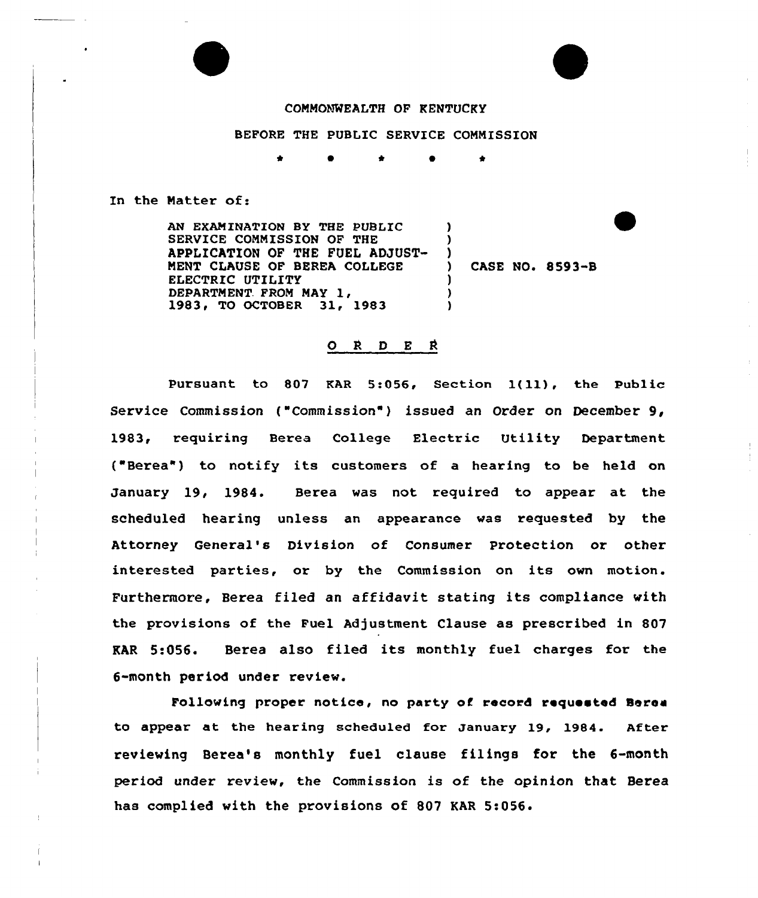## COMMONWEALTH OF KENTUCKY

## BEFORE THE PUBLIC SERVICE COMMISSION

\* 0 \*

## In the Matter of:

AN EXAMINATION BY THE PUBLIC SERVICE COMMISSION OF THE APPLICATION OF THE FUEL ADJUST-MENT CLAUSE OF BEREA COLLEGE EIECTRIC UTILITY DEPARTMENT FROM MAY 1, 1983, TO OCTOBER 31, 1983  $\lambda$ ) )<br>) CASE NO. 8593-B ) )

## O R D E R

Pursuant to <sup>807</sup> KAR 5:056, Section l(11), the Public Service Commission ("Commission") issued an Order on December 9, 1983, requiring Berea College Electric Utility Department ( Berea") to notify its customers of <sup>a</sup> hearing to be held on January 19, 1984. Berea was not required to appear at the scheduled hearing unless an appearance was requested by the Attorney General's Division of Consumer Protection or other interested parties, or by the Commission on its own motion. Furthermore, Berea filed an affidavit stating its compliance with the provisions of the Fuel Adjustment Clause as prescribed in 807 EAR 5:056. Berea also filed its monthly fuel charges for the 6-month period under review.

Following proper notice, no party of record requested Berea to appear at the hearing scheduled for January 19, 1984. After reviewing Berea's monthly fuel clause filings for the 6-month period under review, the Commission is of the opinion that Berea has complied with the provisions of 807 KAR 5:056.